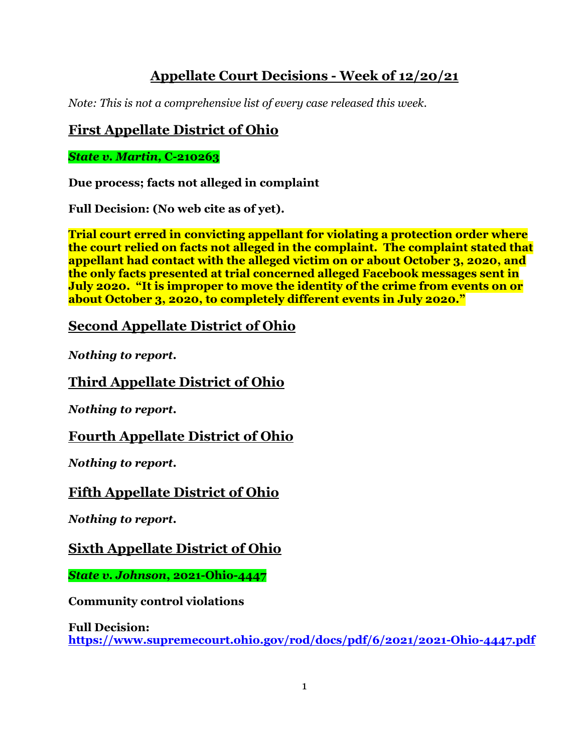# **Appellate Court Decisions - Week of 12/20/21**

*Note: This is not a comprehensive list of every case released this week.*

## **First Appellate District of Ohio**

*State v. Martin,* **C-210263**

**Due process; facts not alleged in complaint**

**Full Decision: (No web cite as of yet).**

**Trial court erred in convicting appellant for violating a protection order where the court relied on facts not alleged in the complaint. The complaint stated that appellant had contact with the alleged victim on or about October 3, 2020, and the only facts presented at trial concerned alleged Facebook messages sent in July 2020. "It is improper to move the identity of the crime from events on or about October 3, 2020, to completely different events in July 2020."**

# **Second Appellate District of Ohio**

*Nothing to report.*

# **Third Appellate District of Ohio**

*Nothing to report.*

#### **Fourth Appellate District of Ohio**

*Nothing to report.*

# **Fifth Appellate District of Ohio**

*Nothing to report.*

# **Sixth Appellate District of Ohio**

*State v. Johnson***, 2021-Ohio-4447**

**Community control violations**

**Full Decision: <https://www.supremecourt.ohio.gov/rod/docs/pdf/6/2021/2021-Ohio-4447.pdf>**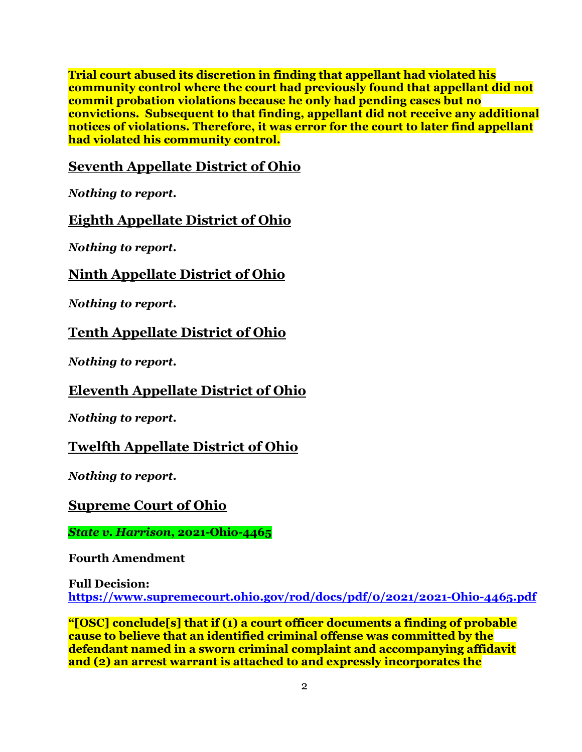**Trial court abused its discretion in finding that appellant had violated his community control where the court had previously found that appellant did not commit probation violations because he only had pending cases but no convictions. Subsequent to that finding, appellant did not receive any additional notices of violations. Therefore, it was error for the court to later find appellant had violated his community control.**

#### **Seventh Appellate District of Ohio**

*Nothing to report.*

# **Eighth Appellate District of Ohio**

*Nothing to report.*

### **Ninth Appellate District of Ohio**

*Nothing to report.*

### **Tenth Appellate District of Ohio**

*Nothing to report.*

# **Eleventh Appellate District of Ohio**

*Nothing to report.*

#### **Twelfth Appellate District of Ohio**

*Nothing to report.*

#### **Supreme Court of Ohio**

*State v. Harrison***, 2021-Ohio-4465**

**Fourth Amendment**

**Full Decision:**

**<https://www.supremecourt.ohio.gov/rod/docs/pdf/0/2021/2021-Ohio-4465.pdf>**

**"[OSC] conclude[s] that if (1) a court officer documents a finding of probable cause to believe that an identified criminal offense was committed by the defendant named in a sworn criminal complaint and accompanying affidavit and (2) an arrest warrant is attached to and expressly incorporates the**